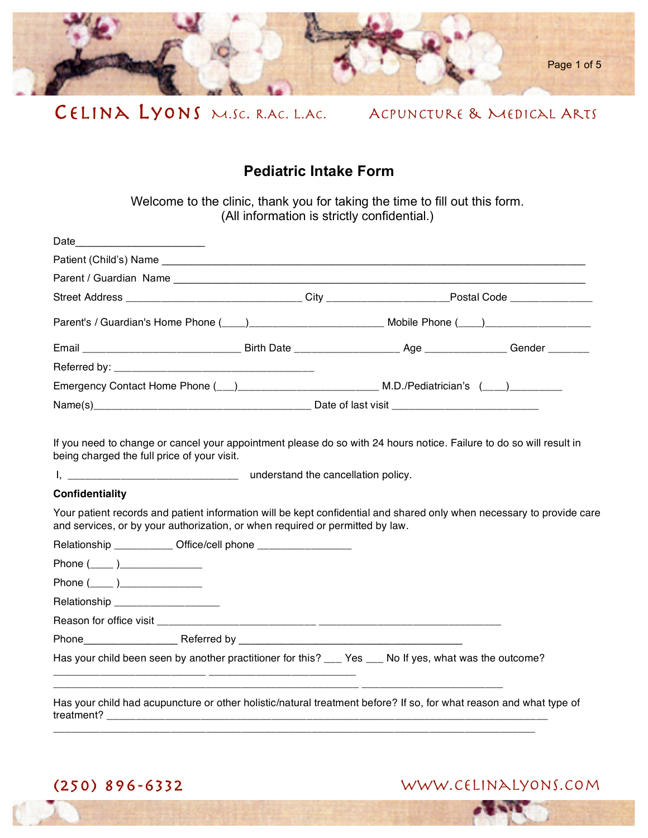

# **Pediatric Intake Form**

Welcome to the clinic, thank you for taking the time to fill out this form. (All information is strictly confidential.)

|                                                                                                                                                                                                        | Street Address _________________________________City ____________________Postal Code _______________ |  |  |
|--------------------------------------------------------------------------------------------------------------------------------------------------------------------------------------------------------|------------------------------------------------------------------------------------------------------|--|--|
|                                                                                                                                                                                                        |                                                                                                      |  |  |
|                                                                                                                                                                                                        |                                                                                                      |  |  |
|                                                                                                                                                                                                        |                                                                                                      |  |  |
|                                                                                                                                                                                                        |                                                                                                      |  |  |
|                                                                                                                                                                                                        |                                                                                                      |  |  |
| Your patient records and patient information will be kept confidential and shared only when necessary to provide care<br>and services, or by your authorization, or when required or permitted by law. |                                                                                                      |  |  |
| <b>Confidentiality</b>                                                                                                                                                                                 |                                                                                                      |  |  |
|                                                                                                                                                                                                        |                                                                                                      |  |  |
| Relationship ____________ Office/cell phone ____________________                                                                                                                                       |                                                                                                      |  |  |
| Phone $(\_\_)$                                                                                                                                                                                         |                                                                                                      |  |  |
| Phone (_____ )________________                                                                                                                                                                         |                                                                                                      |  |  |
| Relationship _______________________                                                                                                                                                                   |                                                                                                      |  |  |
|                                                                                                                                                                                                        |                                                                                                      |  |  |
|                                                                                                                                                                                                        |                                                                                                      |  |  |
| Has your child been seen by another practitioner for this? ___ Yes ___ No If yes, what was the outcome?                                                                                                |                                                                                                      |  |  |
| Has your child had acupuncture or other holistic/natural treatment before? If so, for what reason and what type of                                                                                     |                                                                                                      |  |  |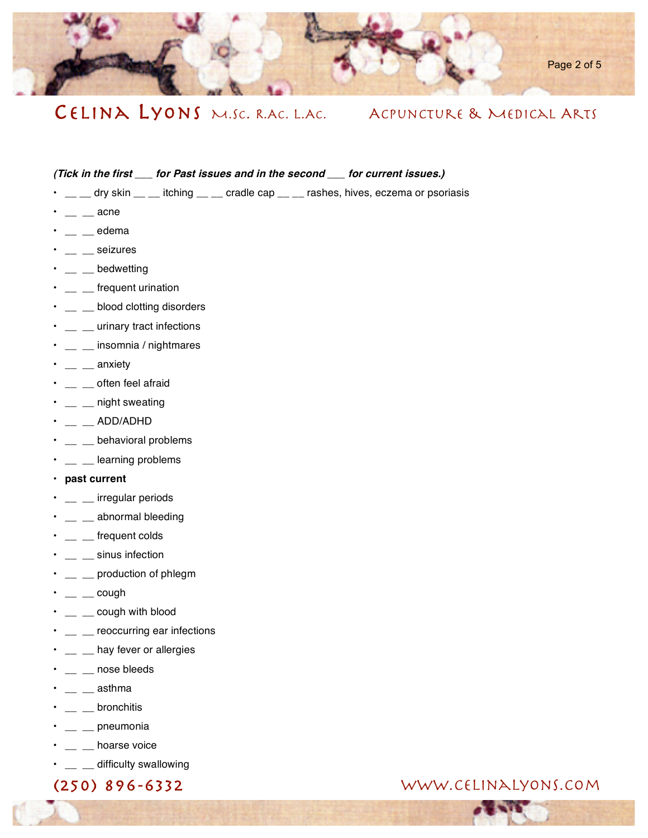

### **(Tick in the first \_\_\_ for Past issues and in the second \_\_\_ for current issues.)**

- \_\_ \_ dry skin \_ \_ itching \_ \_ cradle cap \_ \_ rashes, hives, eczema or psoriasis
- e acne
- \_\_ \_\_ edema
- $\cdot$   $\;$   $\;$   $\;$   $\;$   $\;$   $\;$  seizures
- $\cdot$  \_ bedwetting
- $\cdot$  \_ \_ \_ frequent urination
- \_ \_ blood clotting disorders
- \_ \_ urinary tract infections
- \_ \_ \_ insomnia / nightmares
- $\cdot$   $\;$   $\;$   $\;$   $\;$   $\;$  anxiety
- $\cdot$   $\;$   $\;$   $\;$   $\;$   $\;$   $\;$  often feel afraid
- \_\_ \_\_ night sweating
- $\cdot$  \_ \_ ADD/ADHD
- \_\_ \_\_ behavioral problems
- $\cdot$  \_ \_  $\equiv$  learning problems
- **past current**
- $\cdot$   $\;$   $\;$   $\;$   $\;$   $\;$   $\;$   $\;$  irregular periods
- \_\_ \_\_ abnormal bleeding
- $\cdot$   $\;$   $\;$   $\;$   $\;$   $\;$  frequent colds
- \_\_ \_\_ sinus infection
- $\cdot$   $\;$   $\;$   $\;$   $\;$   $\;$   $\;$   $\;$  production of phlegm
- \_\_ \_\_ cough
- $\cdot$   $\quad \_$  cough with blood
- $\cdot$   $\quad \_$  reoccurring ear infections
- $\cdot$   $\;$   $\;$   $\;$   $\;$   $\;$   $\;$  hay fever or allergies
- $\cdot$   $\;$   $\;$   $\;$   $\;$   $\;$   $\;$   $\;$  nose bleeds
- \_\_ \_\_ asthma
- $\cdot$  \_ \_ bronchitis
- $\cdot$   $\;$   $\;$   $\;$   $\;$   $\;$  pneumonia
- $\cdot$   $\;$   $\;$   $\;$   $\;$   $\;$   $\;$  hoarse voice
- \_\_ \_\_ difficulty swallowing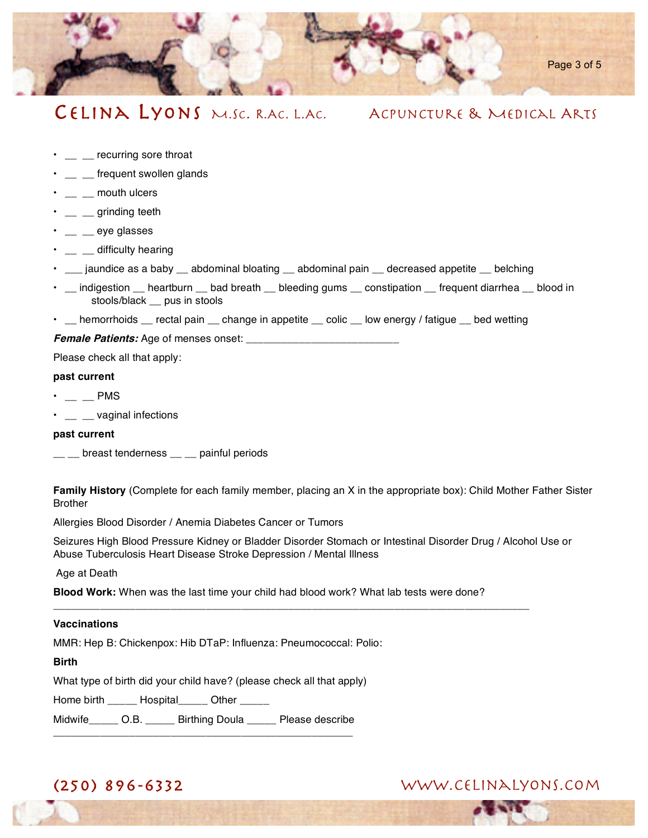

- $\cdot$  \_ \_ \_ recurring sore throat
- $\cdot$   $\_\_$  frequent swollen glands
- $\cdot$   $\_\_$  mouth ulcers
- $\cdot$  \_ \_ grinding teeth
- \_\_ \_\_ eye glasses
- $\cdot$  \_ \_ \_ difficulty hearing
- \_\_\_ jaundice as a baby \_\_ abdominal bloating \_\_ abdominal pain \_\_ decreased appetite \_\_ belching
- indigestion heartburn bad breath bleeding gums constipation frequent diarrhea blood in stools/black \_\_ pus in stools
- \_\_ hemorrhoids \_\_ rectal pain \_\_ change in appetite \_\_ colic \_\_ low energy / fatigue \_\_ bed wetting

**Female Patients:** Age of menses onset:

Please check all that apply:

#### **past current**

- $\cdot$  \_ \_ PMS
- $\cdot$   $\;$   $\;$   $\;$   $\;$   $\;$   $\;$  vaginal infections

#### **past current**

 $\_\_$  breast tenderness  $\_\_$  painful periods

**Family History** (Complete for each family member, placing an X in the appropriate box): Child Mother Father Sister Brother

Allergies Blood Disorder / Anemia Diabetes Cancer or Tumors

Seizures High Blood Pressure Kidney or Bladder Disorder Stomach or Intestinal Disorder Drug / Alcohol Use or Abuse Tuberculosis Heart Disease Stroke Depression / Mental Illness

Age at Death

**Blood Work:** When was the last time your child had blood work? What lab tests were done?

\_\_\_\_\_\_\_\_\_\_\_\_\_\_\_\_\_\_\_\_\_\_\_\_\_\_\_\_\_\_\_\_\_\_\_\_\_\_\_\_\_\_\_\_\_\_\_\_\_\_\_\_\_\_\_\_\_\_\_\_\_\_\_\_\_\_\_\_\_\_\_\_\_\_\_\_\_\_\_\_\_

### **Vaccinations**

MMR: Hep B: Chickenpox: Hib DTaP: Influenza: Pneumococcal: Polio:

**Birth** 

What type of birth did your child have? (please check all that apply)

Home birth \_\_\_\_\_ Hospital \_\_\_\_ Other

Midwife\_\_\_\_\_ O.B. \_\_\_\_\_ Birthing Doula \_\_\_\_\_ Please describe \_\_\_\_\_\_\_\_\_\_\_\_\_\_\_\_\_\_\_\_\_\_\_\_\_\_\_\_\_\_\_\_\_\_\_\_\_\_\_\_\_\_\_\_\_\_\_\_\_\_\_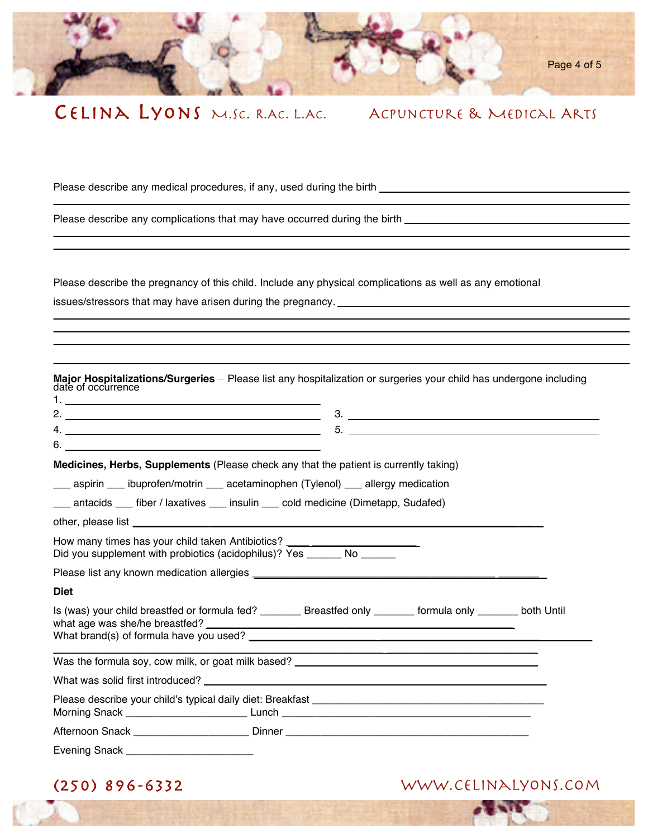

Please describe any medical procedures, if any, used during the birth \_\_\_\_\_\_\_\_\_\_\_\_\_\_\_\_\_

Please describe any complications that may have occurred during the birth **EXEC 2008** 2009 2012

\_\_\_\_\_\_\_\_\_\_\_\_\_\_\_\_\_\_ \_\_\_\_\_\_\_\_\_\_\_\_\_\_ \_\_\_\_\_\_\_\_\_\_\_\_ \_\_\_\_\_\_\_\_\_\_\_\_

\_\_\_\_\_\_\_\_\_\_\_\_\_\_\_\_\_\_\_\_\_\_\_\_\_\_\_\_\_\_\_\_\_\_\_\_\_\_\_\_\_\_\_\_\_\_\_\_\_\_\_\_\_\_\_\_\_\_\_\_\_\_\_\_\_\_\_\_\_

\_\_\_\_\_\_\_\_\_\_\_\_\_\_\_\_\_\_\_\_\_\_\_\_\_\_\_\_\_\_\_\_\_\_\_\_\_\_\_\_\_\_\_\_\_\_\_\_\_\_\_\_\_\_\_\_\_\_\_\_\_\_\_\_\_\_\_\_\_ \_\_\_\_\_\_\_\_\_\_\_\_\_\_\_\_\_\_\_\_\_\_\_\_\_\_\_\_\_\_\_\_\_\_\_\_\_\_\_\_\_\_\_\_\_\_\_\_\_\_\_\_\_\_\_\_\_\_\_\_\_\_\_\_\_\_\_\_\_\_\_ \_\_\_\_\_\_\_\_\_\_\_\_\_\_\_\_\_\_\_\_\_\_\_\_\_\_\_\_\_\_\_\_\_\_\_\_\_\_\_\_\_\_\_\_\_\_\_\_\_\_\_\_\_\_\_\_\_\_\_\_\_\_\_\_\_\_\_\_\_\_\_

\_\_\_\_\_\_\_\_\_\_\_\_\_\_\_\_\_\_\_\_\_\_\_\_\_\_\_\_\_\_\_\_\_\_\_\_\_\_\_\_\_\_\_\_\_\_\_\_\_\_\_\_\_\_\_\_\_\_\_\_\_\_\_\_\_\_\_\_\_\_\_\_\_\_ \_\_\_\_\_\_\_\_\_\_\_\_\_\_\_\_\_\_\_\_\_\_\_\_\_\_\_\_\_\_\_\_\_\_\_\_\_\_\_\_\_\_\_\_\_\_\_\_\_\_\_\_\_\_\_\_\_\_\_\_\_\_\_\_\_\_\_\_\_\_\_\_\_\_

Please describe the pregnancy of this child. Include any physical complications as well as any emotional issues/stressors that may have arisen during the pregnancy. \_\_\_\_\_\_\_\_\_\_\_\_\_\_\_\_\_\_\_\_

**Major Hospitalizations/Surgeries** – Please list any hospitalization or surgeries your child has undergone including date of occurrence 1. \_\_\_\_\_\_\_\_\_\_\_\_\_\_\_\_\_\_\_\_\_\_\_\_\_\_\_\_\_\_\_\_\_\_\_\_\_\_\_\_  $2.$  2. 4. \_\_\_\_\_\_\_\_\_\_\_\_\_\_\_\_\_\_\_\_\_\_\_\_\_\_\_\_\_\_\_\_\_\_\_\_\_\_\_\_ 5. \_\_\_\_\_\_\_\_\_\_\_\_\_\_\_\_\_\_\_\_\_\_\_\_\_\_\_\_\_\_\_\_\_\_\_\_\_\_\_\_ 6.  $\_\_$ **Medicines, Herbs, Supplements** (Please check any that the patient is currently taking) \_\_\_ aspirin \_\_\_ ibuprofen/motrin \_\_\_ acetaminophen (Tylenol) \_\_\_ allergy medication \_\_\_ antacids \_\_\_ fiber / laxatives \_\_\_ insulin \_\_\_ cold medicine (Dimetapp, Sudafed) other, please list How many times has your child taken Antibiotics? Did you supplement with probiotics (acidophilus)? Yes \_\_\_\_\_\_\_ No Please list any known medication allergies \_\_\_\_\_\_\_\_\_\_\_\_\_\_\_\_\_\_\_\_\_\_\_\_\_\_\_\_\_\_\_\_\_\_\_\_\_\_\_\_\_\_ \_\_\_\_\_\_\_ **Diet**  Is (was) your child breastfed or formula fed? \_\_\_\_\_\_\_ Breastfed only \_\_\_\_\_\_\_ formula only \_\_\_\_\_\_\_ both Until what age was she/he breastfed? What brand(s) of formula have you used? \_\_\_\_\_\_\_\_\_\_\_\_\_\_\_\_\_\_\_\_\_\_\_\_\_\_\_\_\_\_\_\_\_\_\_\_\_\_\_\_\_\_\_\_\_\_\_\_\_\_\_\_\_\_\_\_\_ \_\_\_\_\_\_\_\_\_\_\_\_\_\_\_\_\_\_\_\_\_\_\_\_\_\_ Was the formula soy, cow milk, or goat milk based? What was solid first introduced? \_\_\_\_\_\_\_\_\_\_\_\_\_\_\_\_\_\_\_\_\_\_\_\_\_\_\_\_\_\_\_\_\_\_\_\_\_\_\_\_\_\_\_\_\_\_\_\_\_\_\_\_\_\_\_\_\_\_ Please describe your child's typical daily diet: Breakfast Morning Snack \_\_\_\_\_\_\_\_\_\_\_\_\_\_\_\_\_\_\_\_\_ Lunch \_\_\_\_\_\_\_\_\_\_\_\_\_\_\_\_\_\_\_\_\_\_\_\_\_\_\_\_\_\_\_\_\_\_\_\_\_\_\_\_\_\_\_ Afternoon Snack **Exercise Exercise Snack Dinner Exercise Snack Dinner Exercise Snack** Evening Snack \_\_\_\_\_\_\_\_\_\_\_\_\_\_\_\_\_\_\_\_\_\_